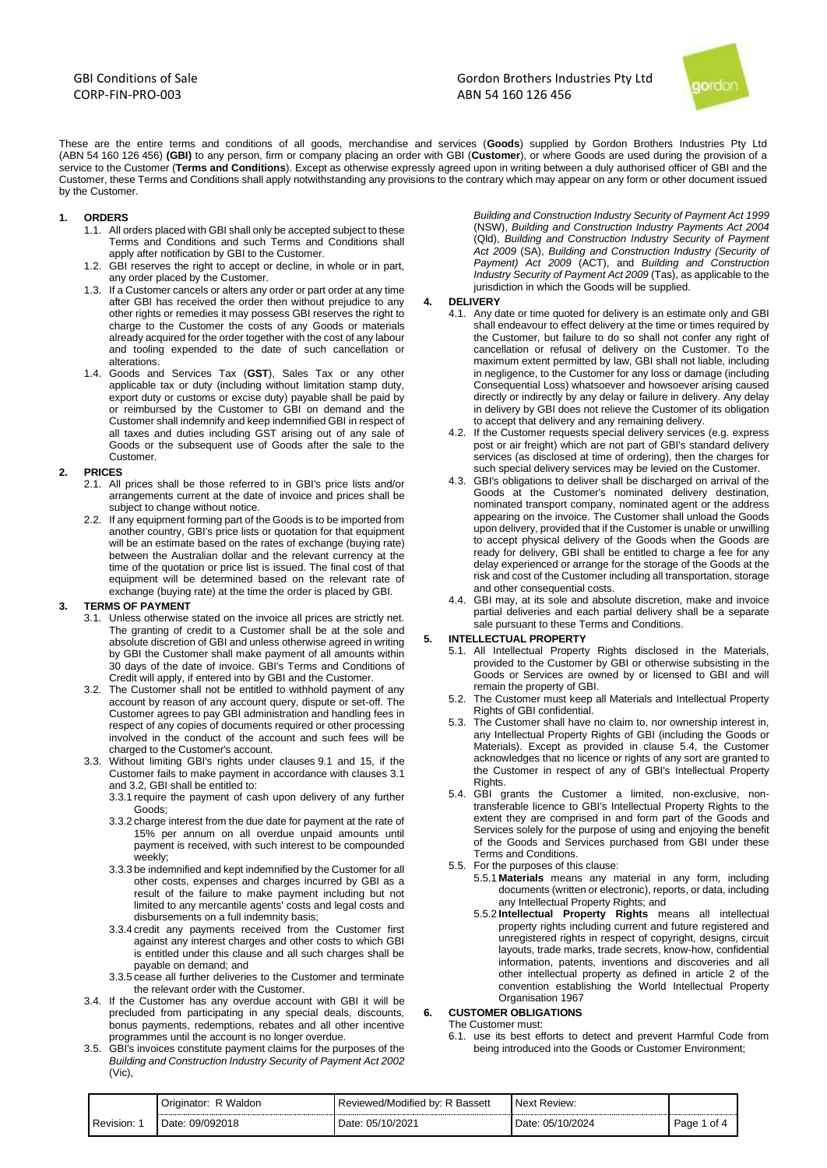GBI Conditions of Sale CORP-FIN-PRO-003



These are the entire terms and conditions of all goods, merchandise and services (**Goods**) supplied by Gordon Brothers Industries Pty Ltd (ABN 54 160 126 456) **(GBI)** to any person, firm or company placing an order with GBI (**Customer**), or where Goods are used during the provision of a service to the Customer (**Terms and Conditions**). Except as otherwise expressly agreed upon in writing between a duly authorised officer of GBI and the Customer, these Terms and Conditions shall apply notwithstanding any provisions to the contrary which may appear on any form or other document issued by the Customer.

- **1. ORDERS**
	- 1.1. All orders placed with GBI shall only be accepted subject to these Terms and Conditions and such Terms and Conditions shall apply after notification by GBI to the Customer.
	- 1.2. GBI reserves the right to accept or decline, in whole or in part, any order placed by the Customer.
	- 1.3. If a Customer cancels or alters any order or part order at any time after GBI has received the order then without prejudice to any other rights or remedies it may possess GBI reserves the right to charge to the Customer the costs of any Goods or materials already acquired for the order together with the cost of any labour and tooling expended to the date of such cancellation or alterations.
	- 1.4. Goods and Services Tax (**GST**), Sales Tax or any other applicable tax or duty (including without limitation stamp duty, export duty or customs or excise duty) payable shall be paid by or reimbursed by the Customer to GBI on demand and the Customer shall indemnify and keep indemnified GBI in respect of all taxes and duties including GST arising out of any sale of Goods or the subsequent use of Goods after the sale to the Customer.

### **2. PRICES**

- 2.1. All prices shall be those referred to in GBI's price lists and/or arrangements current at the date of invoice and prices shall be subject to change without notice.
- 2.2. If any equipment forming part of the Goods is to be imported from another country, GBI's price lists or quotation for that equipment will be an estimate based on the rates of exchange (buying rate) between the Australian dollar and the relevant currency at the time of the quotation or price list is issued. The final cost of that equipment will be determined based on the relevant rate of exchange (buying rate) at the time the order is placed by GBI.

## **3. TERMS OF PAYMENT**

- 3.1. Unless otherwise stated on the invoice all prices are strictly net. The granting of credit to a Customer shall be at the sole and absolute discretion of GBI and unless otherwise agreed in writing by GBI the Customer shall make payment of all amounts within 30 days of the date of invoice. GBI's Terms and Conditions of Credit will apply, if entered into by GBI and the Customer.
- 3.2. The Customer shall not be entitled to withhold payment of any account by reason of any account query, dispute or set-off. The Customer agrees to pay GBI administration and handling fees in respect of any copies of documents required or other processing involved in the conduct of the account and such fees will be charged to the Customer's account.
- 3.3. Without limiting GBI's rights under clauses 9.1 and 15, if the Customer fails to make payment in accordance with clauses 3.1 and 3.2, GBI shall be entitled to:
	- 3.3.1 require the payment of cash upon delivery of any further Goods;
	- 3.3.2 charge interest from the due date for payment at the rate of 15% per annum on all overdue unpaid amounts until payment is received, with such interest to be compounded weekly;
	- 3.3.3 be indemnified and kept indemnified by the Customer for all other costs, expenses and charges incurred by GBI as a result of the failure to make payment including but not limited to any mercantile agents' costs and legal costs and disbursements on a full indemnity basis;
	- 3.3.4 credit any payments received from the Customer first against any interest charges and other costs to which GBI is entitled under this clause and all such charges shall be payable on demand; and
	- 3.3.5 cease all further deliveries to the Customer and terminate the relevant order with the Customer.
- 3.4. If the Customer has any overdue account with GBI it will be precluded from participating in any special deals, discounts, bonus payments, redemptions, rebates and all other incentive programmes until the account is no longer overdue.
- 3.5. GBI's invoices constitute payment claims for the purposes of the *Building and Construction Industry Security of Payment Act 2002* (Vic),

*Building and Construction Industry Security of Payment Act 1999* (NSW), *Building and Construction Industry Payments Act 2004* (Qld), *Building and Construction Industry Security of Payment Act 2009* (SA), *Building and Construction Industry (Security of Payment) Act 2009* (ACT), and *Building and Construction Industry Security of Payment Act 2009* (Tas), as applicable to the jurisdiction in which the Goods will be supplied.

# **4. DELIVERY**

- 4.1. Any date or time quoted for delivery is an estimate only and GBI shall endeavour to effect delivery at the time or times required by the Customer, but failure to do so shall not confer any right of cancellation or refusal of delivery on the Customer. To the maximum extent permitted by law, GBI shall not liable, including in negligence, to the Customer for any loss or damage (including Consequential Loss) whatsoever and howsoever arising caused directly or indirectly by any delay or failure in delivery. Any delay in delivery by GBI does not relieve the Customer of its obligation to accept that delivery and any remaining delivery.
- 4.2. If the Customer requests special delivery services (e.g. express post or air freight) which are not part of GBI's standard delivery services (as disclosed at time of ordering), then the charges for such special delivery services may be levied on the Customer.
- 4.3. GBI's obligations to deliver shall be discharged on arrival of the Goods at the Customer's nominated delivery destination, nominated transport company, nominated agent or the address appearing on the invoice. The Customer shall unload the Goods upon delivery, provided that if the Customer is unable or unwilling to accept physical delivery of the Goods when the Goods are ready for delivery, GBI shall be entitled to charge a fee for any delay experienced or arrange for the storage of the Goods at the risk and cost of the Customer including all transportation, storage and other consequential costs.
- 4.4. GBI may, at its sole and absolute discretion, make and invoice partial deliveries and each partial delivery shall be a separate sale pursuant to these Terms and Conditions.

## **5. INTELLECTUAL PROPERTY**

- 5.1. All Intellectual Property Rights disclosed in the Materials, provided to the Customer by GBI or otherwise subsisting in the Goods or Services are owned by or licensed to GBI and will remain the property of GBI.
- 5.2. The Customer must keep all Materials and Intellectual Property Rights of GBI confidential.
- 5.3. The Customer shall have no claim to, nor ownership interest in, any Intellectual Property Rights of GBI (including the Goods or Materials). Except as provided in clause 5.4, the Customer acknowledges that no licence or rights of any sort are granted to the Customer in respect of any of GBI's Intellectual Property Rights.
- 5.4. GBI grants the Customer a limited, non-exclusive, nontransferable licence to GBI's Intellectual Property Rights to the extent they are comprised in and form part of the Goods and Services solely for the purpose of using and enjoying the benefit of the Goods and Services purchased from GBI under these Terms and Conditions.
- 5.5. For the purposes of this clause:
	- 5.5.1 **Materials** means any material in any form, including documents (written or electronic), reports, or data, including any Intellectual Property Rights; and
	- 5.5.2 **Intellectual Property Rights** means all intellectual property rights including current and future registered and unregistered rights in respect of copyright, designs, circuit layouts, trade marks, trade secrets, know-how, confidential information, patents, inventions and discoveries and all other intellectual property as defined in article 2 of the convention establishing the World Intellectual Property Organisation 1967

## **6. CUSTOMER OBLIGATIONS**

The Customer must:

6.1. use its best efforts to detect and prevent Harmful Code from being introduced into the Goods or Customer Environment;

|           | Waldon<br>Originator <sup>.</sup> | Bassett<br>Reviewed/Modified<br>. bv:<br>◡ | <b>Next</b><br>. Review <sup>.</sup> |                        |
|-----------|-----------------------------------|--------------------------------------------|--------------------------------------|------------------------|
| Revision: | 09/092018<br>Date:                | 05/10/2021<br>Date:                        | 05/10/2024<br>Date:                  | Page<br>$\sim$<br>- UI |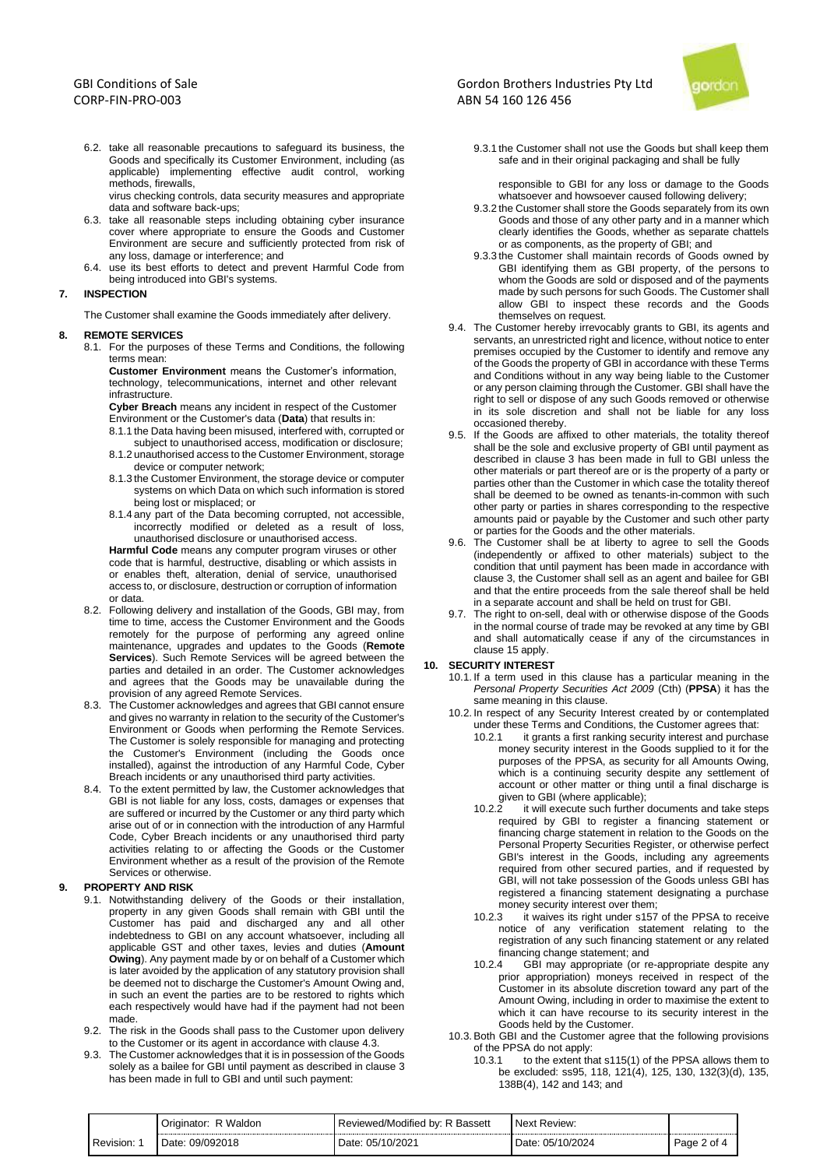6.2. take all reasonable precautions to safeguard its business, the Goods and specifically its Customer Environment, including (as applicable) implementing effective audit control, working methods, firewalls,

virus checking controls, data security measures and appropriate data and software back-ups;

- 6.3. take all reasonable steps including obtaining cyber insurance cover where appropriate to ensure the Goods and Customer Environment are secure and sufficiently protected from risk of any loss, damage or interference; and
- 6.4. use its best efforts to detect and prevent Harmful Code from being introduced into GBI's systems.

## **7. INSPECTION**

The Customer shall examine the Goods immediately after delivery.

#### **8. REMOTE SERVICES**

8.1. For the purposes of these Terms and Conditions, the following terms mean:

**Customer Environment** means the Customer's information, technology, telecommunications, internet and other relevant infrastructure.

**Cyber Breach** means any incident in respect of the Customer Environment or the Customer's data (**Data**) that results in:

- 8.1.1 the Data having been misused, interfered with, corrupted or subject to unauthorised access, modification or disclosure; 8.1.2 unauthorised access to the Customer Environment, storage
- device or computer network; 8.1.3 the Customer Environment, the storage device or computer systems on which Data on which such information is stored
- being lost or misplaced; or 8.1.4 any part of the Data becoming corrupted, not accessible, incorrectly modified or deleted as a result of loss,

unauthorised disclosure or unauthorised access. **Harmful Code** means any computer program viruses or other code that is harmful, destructive, disabling or which assists in

or enables theft, alteration, denial of service, unauthorised access to, or disclosure, destruction or corruption of information or data.

- 8.2. Following delivery and installation of the Goods, GBI may, from time to time, access the Customer Environment and the Goods remotely for the purpose of performing any agreed online maintenance, upgrades and updates to the Goods (**Remote Services**). Such Remote Services will be agreed between the parties and detailed in an order. The Customer acknowledges and agrees that the Goods may be unavailable during the provision of any agreed Remote Services.
- 8.3. The Customer acknowledges and agrees that GBI cannot ensure and gives no warranty in relation to the security of the Customer's Environment or Goods when performing the Remote Services. The Customer is solely responsible for managing and protecting the Customer's Environment (including the Goods once installed), against the introduction of any Harmful Code, Cyber Breach incidents or any unauthorised third party activities.
- 8.4. To the extent permitted by law, the Customer acknowledges that GBI is not liable for any loss, costs, damages or expenses that are suffered or incurred by the Customer or any third party which arise out of or in connection with the introduction of any Harmful Code, Cyber Breach incidents or any unauthorised third party activities relating to or affecting the Goods or the Customer Environment whether as a result of the provision of the Remote Services or otherwise.

## **9. PROPERTY AND RISK**

- 9.1. Notwithstanding delivery of the Goods or their installation, property in any given Goods shall remain with GBI until the Customer has paid and discharged any and all other indebtedness to GBI on any account whatsoever, including all applicable GST and other taxes, levies and duties (**Amount Owing**). Any payment made by or on behalf of a Customer which is later avoided by the application of any statutory provision shall be deemed not to discharge the Customer's Amount Owing and, in such an event the parties are to be restored to rights which each respectively would have had if the payment had not been made.
- 9.2. The risk in the Goods shall pass to the Customer upon delivery to the Customer or its agent in accordance with clause 4.3.
- 9.3. The Customer acknowledges that it is in possession of the Goods solely as a bailee for GBI until payment as described in clause 3 has been made in full to GBI and until such payment:

## Gordon Brothers Industries Pty Ltd ABN 54 160 126 456



9.3.1 the Customer shall not use the Goods but shall keep them safe and in their original packaging and shall be fully

responsible to GBI for any loss or damage to the Goods whatsoever and howsoever caused following delivery;

- 9.3.2 the Customer shall store the Goods separately from its own Goods and those of any other party and in a manner which clearly identifies the Goods, whether as separate chattels or as components, as the property of GBI; and
- 9.3.3 the Customer shall maintain records of Goods owned by GBI identifying them as GBI property, of the persons to whom the Goods are sold or disposed and of the payments made by such persons for such Goods. The Customer shall allow GBI to inspect these records and the Goods themselves on request.
- 9.4. The Customer hereby irrevocably grants to GBI, its agents and servants, an unrestricted right and licence, without notice to enter premises occupied by the Customer to identify and remove any of the Goods the property of GBI in accordance with these Terms and Conditions without in any way being liable to the Customer or any person claiming through the Customer. GBI shall have the right to sell or dispose of any such Goods removed or otherwise in its sole discretion and shall not be liable for any loss occasioned thereby.
- 9.5. If the Goods are affixed to other materials, the totality thereof shall be the sole and exclusive property of GBI until payment as described in clause 3 has been made in full to GBI unless the other materials or part thereof are or is the property of a party or parties other than the Customer in which case the totality thereof shall be deemed to be owned as tenants-in-common with such other party or parties in shares corresponding to the respective amounts paid or payable by the Customer and such other party or parties for the Goods and the other materials.
- 9.6. The Customer shall be at liberty to agree to sell the Goods (independently or affixed to other materials) subject to the condition that until payment has been made in accordance with clause 3, the Customer shall sell as an agent and bailee for GBI and that the entire proceeds from the sale thereof shall be held in a separate account and shall be held on trust for GBI.
- 9.7. The right to on-sell, deal with or otherwise dispose of the Goods in the normal course of trade may be revoked at any time by GBI and shall automatically cease if any of the circumstances in clause 15 apply.

## **10. SECURITY INTEREST**

- 10.1. If a term used in this clause has a particular meaning in the *Personal Property Securities Act 2009* (Cth) (**PPSA**) it has the same meaning in this clause.
- 10.2. In respect of any Security Interest created by or contemplated under these Terms and Conditions, the Customer agrees that:
	- 10.2.1 it grants a first ranking security interest and purchase money security interest in the Goods supplied to it for the purposes of the PPSA, as security for all Amounts Owing, which is a continuing security despite any settlement of account or other matter or thing until a final discharge is given to GBI (where applicable);<br>10.2.2 it will execute such further
	- it will execute such further documents and take steps required by GBI to register a financing statement or financing charge statement in relation to the Goods on the Personal Property Securities Register, or otherwise perfect GBI's interest in the Goods, including any agreements required from other secured parties, and if requested by GBI, will not take possession of the Goods unless GBI has registered a financing statement designating a purchase money security interest over them;
	- 10.2.3 it waives its right under s157 of the PPSA to receive notice of any verification statement relating to the registration of any such financing statement or any related financing change statement; and<br>10.2.4 GBI may appropriate (or re
	- GBI may appropriate (or re-appropriate despite any prior appropriation) moneys received in respect of the Customer in its absolute discretion toward any part of the Amount Owing, including in order to maximise the extent to which it can have recourse to its security interest in the Goods held by the Customer.
- 10.3. Both GBI and the Customer agree that the following provisions of the PPSA do not apply:
	- 10.3.1 to the extent that s115(1) of the PPSA allows them to be excluded: ss95, 118, 121(4), 125, 130, 132(3)(d), 135, 138B(4), 142 and 143; and

|           | R Waldon<br>Originator <sup>.</sup> | Reviewed/Modified by: R<br>: Bassett | Next Review:        |             |
|-----------|-------------------------------------|--------------------------------------|---------------------|-------------|
| Revision: | Date: 09/092018                     | 05/10/2021<br>Date:                  | 05/10/2024<br>Date: | Page 2 of 4 |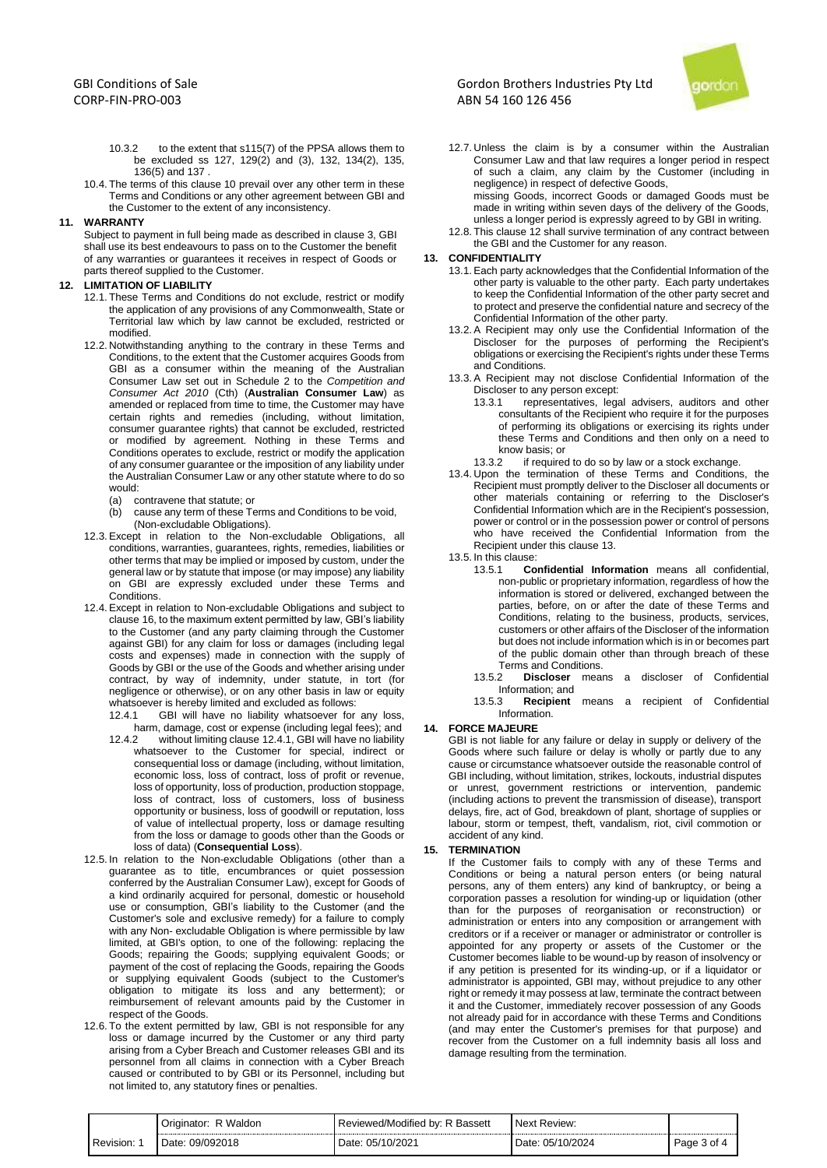- 10.3.2 to the extent that s115(7) of the PPSA allows them to be excluded ss 127, 129(2) and (3), 132, 134(2), 135, 136(5) and 137 .
- 10.4. The terms of this clause 10 prevail over any other term in these Terms and Conditions or any other agreement between GBI and the Customer to the extent of any inconsistency.

## **11. WARRANTY**

Subject to payment in full being made as described in clause 3, GBI shall use its best endeavours to pass on to the Customer the benefit of any warranties or guarantees it receives in respect of Goods or parts thereof supplied to the Customer.

### **12. LIMITATION OF LIABILITY**

- 12.1. These Terms and Conditions do not exclude, restrict or modify the application of any provisions of any Commonwealth, State or Territorial law which by law cannot be excluded, restricted or modified.
- 12.2. Notwithstanding anything to the contrary in these Terms and Conditions, to the extent that the Customer acquires Goods from GBI as a consumer within the meaning of the Australian Consumer Law set out in Schedule 2 to the *Competition and Consumer Act 2010* (Cth) (**Australian Consumer Law**) as amended or replaced from time to time, the Customer may have certain rights and remedies (including, without limitation, consumer guarantee rights) that cannot be excluded, restricted or modified by agreement. Nothing in these Terms and Conditions operates to exclude, restrict or modify the application of any consumer guarantee or the imposition of any liability under the Australian Consumer Law or any other statute where to do so would:
	- (a) contravene that statute; or<br>(b) cause any term of these Te
	- cause any term of these Terms and Conditions to be void, (Non-excludable Obligations).
- 12.3. Except in relation to the Non-excludable Obligations, all conditions, warranties, guarantees, rights, remedies, liabilities or other terms that may be implied or imposed by custom, under the general law or by statute that impose (or may impose) any liability on GBI are expressly excluded under these Terms and Conditions.
- 12.4. Except in relation to Non-excludable Obligations and subject to clause 16, to the maximum extent permitted by law, GBI's liability to the Customer (and any party claiming through the Customer against GBI) for any claim for loss or damages (including legal costs and expenses) made in connection with the supply of Goods by GBI or the use of the Goods and whether arising under contract, by way of indemnity, under statute, in tort (for negligence or otherwise), or on any other basis in law or equity whatsoever is hereby limited and excluded as follows:
	- 12.4.1 GBI will have no liability whatsoever for any loss, harm, damage, cost or expense (including legal fees); and
	- 12.4.2 without limiting clause 12.4.1, GBI will have no liability whatsoever to the Customer for special, indirect or consequential loss or damage (including, without limitation, economic loss, loss of contract, loss of profit or revenue, loss of opportunity, loss of production, production stoppage, loss of contract, loss of customers, loss of business opportunity or business, loss of goodwill or reputation, loss of value of intellectual property, loss or damage resulting from the loss or damage to goods other than the Goods or loss of data) (**Consequential Loss**).
- 12.5. In relation to the Non-excludable Obligations (other than a guarantee as to title, encumbrances or quiet possession conferred by the Australian Consumer Law), except for Goods of a kind ordinarily acquired for personal, domestic or household use or consumption, GBI's liability to the Customer (and the Customer's sole and exclusive remedy) for a failure to comply with any Non- excludable Obligation is where permissible by law limited, at GBI's option, to one of the following: replacing the Goods; repairing the Goods; supplying equivalent Goods; or payment of the cost of replacing the Goods, repairing the Goods or supplying equivalent Goods (subject to the Customer's obligation to mitigate its loss and any betterment); or reimbursement of relevant amounts paid by the Customer in respect of the Goods.
- 12.6. To the extent permitted by law, GBI is not responsible for any loss or damage incurred by the Customer or any third party arising from a Cyber Breach and Customer releases GBI and its personnel from all claims in connection with a Cyber Breach caused or contributed to by GBI or its Personnel, including but not limited to, any statutory fines or penalties.

# Gordon Brothers Industries Pty Ltd ABN 54 160 126 456



12.7. Unless the claim is by a consumer within the Australian Consumer Law and that law requires a longer period in respect of such a claim, any claim by the Customer (including in negligence) in respect of defective Goods,

missing Goods, incorrect Goods or damaged Goods must be made in writing within seven days of the delivery of the Goods, unless a longer period is expressly agreed to by GBI in writing.

12.8. This clause 12 shall survive termination of any contract between the GBI and the Customer for any reason.

## **13. CONFIDENTIALITY**

- 13.1. Each party acknowledges that the Confidential Information of the other party is valuable to the other party. Each party undertakes to keep the Confidential Information of the other party secret and to protect and preserve the confidential nature and secrecy of the Confidential Information of the other party.
- 13.2. A Recipient may only use the Confidential Information of the Discloser for the purposes of performing the Recipient's obligations or exercising the Recipient's rights under these Terms and Conditions.
- 13.3. A Recipient may not disclose Confidential Information of the Discloser to any person except:<br>13.3.1 representatives. lega
	- representatives, legal advisers, auditors and other consultants of the Recipient who require it for the purposes of performing its obligations or exercising its rights under these Terms and Conditions and then only on a need to know basis; or<br>13.3.2 if required
- if required to do so by law or a stock exchange.
- 13.4. Upon the termination of these Terms and Conditions, the Recipient must promptly deliver to the Discloser all documents or other materials containing or referring to the Discloser's Confidential Information which are in the Recipient's possession, power or control or in the possession power or control of persons who have received the Confidential Information from the Recipient under this clause 13.
- 13.5. In this clause:<br>13.5.1 Co
	- 13.5.1 **Confidential Information** means all confidential, non-public or proprietary information, regardless of how the information is stored or delivered, exchanged between the parties, before, on or after the date of these Terms and Conditions, relating to the business, products, services, customers or other affairs of the Discloser of the information but does not include information which is in or becomes part of the public domain other than through breach of these Terms and Conditions.<br>13.5.2 **Discloser** mear
	- Discloser means a discloser of Confidential Information; and<br>13.5.3 **Recipient**
	- **Recipient** means a recipient of Confidential Information.

#### **14. FORCE MAJEURE**

GBI is not liable for any failure or delay in supply or delivery of the Goods where such failure or delay is wholly or partly due to any cause or circumstance whatsoever outside the reasonable control of GBI including, without limitation, strikes, lockouts, industrial disputes or unrest, government restrictions or intervention, pandemic (including actions to prevent the transmission of disease), transport delays, fire, act of God, breakdown of plant, shortage of supplies or labour, storm or tempest, theft, vandalism, riot, civil commotion or accident of any kind.

### **15. TERMINATION**

If the Customer fails to comply with any of these Terms and Conditions or being a natural person enters (or being natural persons, any of them enters) any kind of bankruptcy, or being a corporation passes a resolution for winding-up or liquidation (other than for the purposes of reorganisation or reconstruction) or administration or enters into any composition or arrangement with creditors or if a receiver or manager or administrator or controller is appointed for any property or assets of the Customer or the Customer becomes liable to be wound-up by reason of insolvency or if any petition is presented for its winding-up, or if a liquidator or administrator is appointed, GBI may, without prejudice to any other right or remedy it may possess at law, terminate the contract between it and the Customer, immediately recover possession of any Goods not already paid for in accordance with these Terms and Conditions (and may enter the Customer's premises for that purpose) and recover from the Customer on a full indemnity basis all loss and damage resulting from the termination.

|           | Waldon<br>)riɑinator:<br>. . | Reviewed/Modified<br>R Bassett<br>bv: | Next<br>. Review:   |             |
|-----------|------------------------------|---------------------------------------|---------------------|-------------|
| Revision: | Date: 09/092018              | 05/10/2021<br>Date:                   | 05/10/2024<br>Date: | Page 3 of 4 |